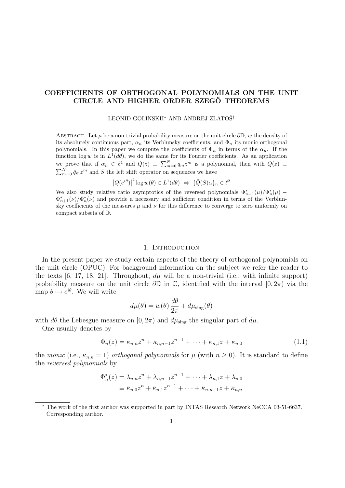# COEFFICIENTS OF ORTHOGONAL POLYNOMIALS ON THE UNIT CIRCLE AND HIGHER ORDER SZEGŐ THEOREMS

LEONID GOLINSKII<sup>∗</sup> AND ANDREJ ZLATOŠ<sup>†</sup>

ABSTRACT. Let  $\mu$  be a non-trivial probability measure on the unit circle  $\partial \mathbb{D}$ , w the density of its absolutely continuous part,  $\alpha_n$  its Verblunsky coefficients, and  $\Phi_n$  its monic orthogonal polynomials. In this paper we compute the coefficients of  $\Phi_n$  in terms of the  $\alpha_n$ . If the function  $\log w$  is in  $L^1(d\theta)$ , we do the same for its Fourier coefficients. As an application we prove that if  $\alpha_n \in \ell^4$  and  $Q(z) \equiv \sum_{m=0}^N q_m z^m$  is a polynomial, then with  $\overline{Q}(z) \equiv$  $\sum_{m=0}^{N} \bar{q}_m z^m$  and S the left shift operator on sequences we have

> $|Q(e^{i\theta})|$  $2^2 \log w(\theta) \in L^1(d\theta) \Leftrightarrow {\overline{Q}(S)\alpha}_n \in \ell^2$

We also study relative ratio asymptotics of the reversed polynomials  $\Phi_{n+1}^*(\mu)/\Phi_n^*(\mu)$  $\Phi_{n+1}^*(\nu)/\Phi_n^*(\nu)$  and provide a necessary and sufficient condition in terms of the Verblunsky coefficients of the measures  $\mu$  and  $\nu$  for this difference to converge to zero uniformly on compact subsets of D.

#### 1. INTRODUCTION

In the present paper we study certain aspects of the theory of orthogonal polynomials on the unit circle (OPUC). For background information on the subject we refer the reader to the texts [6, 17, 18, 21]. Throughout,  $d\mu$  will be a non-trivial (i.e., with infinite support) probability measure on the unit circle  $\partial \mathbb{D}$  in  $\mathbb{C}$ , identified with the interval  $[0, 2\pi)$  via the map  $\theta \mapsto e^{i\theta}$ . We will write

$$
d\mu(\theta) = w(\theta) \frac{d\theta}{2\pi} + d\mu_{\text{sing}}(\theta)
$$

with  $d\theta$  the Lebesgue measure on  $[0, 2\pi)$  and  $d\mu_{sing}$  the singular part of  $d\mu$ .

One usually denotes by

$$
\Phi_n(z) = \kappa_{n,n} z^n + \kappa_{n,n-1} z^{n-1} + \dots + \kappa_{n,1} z + \kappa_{n,0}
$$
\n(1.1)

the monic (i.e.,  $\kappa_{n,n} = 1$ ) orthogonal polynomials for  $\mu$  (with  $n \geq 0$ ). It is standard to define the reversed polynomials by

$$
\Phi_n^*(z) = \lambda_{n,n} z^n + \lambda_{n,n-1} z^{n-1} + \dots + \lambda_{n,1} z + \lambda_{n,0}
$$
  

$$
\equiv \bar{\kappa}_{n,0} z^n + \bar{\kappa}_{n,1} z^{n-1} + \dots + \bar{\kappa}_{n,n-1} z + \bar{\kappa}_{n,n}
$$

† Corresponding author.

<sup>∗</sup> The work of the first author was supported in part by INTAS Research Network NeCCA 03-51-6637.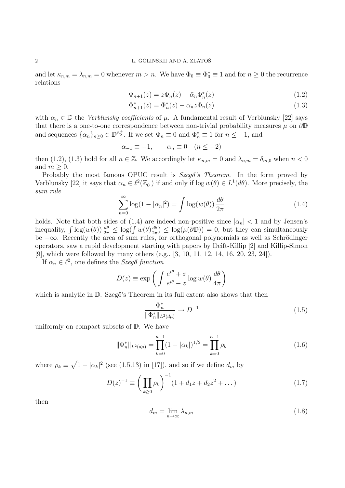and let  $\kappa_{n,m} = \lambda_{n,m} = 0$  whenever  $m > n$ . We have  $\Phi_0 \equiv \Phi_0^* \equiv 1$  and for  $n \geq 0$  the recurrence relations

$$
\Phi_{n+1}(z) = z\Phi_n(z) - \bar{\alpha}_n \Phi_n^*(z) \tag{1.2}
$$

$$
\Phi_{n+1}^*(z) = \Phi_n^*(z) - \alpha_n z \Phi_n(z) \tag{1.3}
$$

with  $\alpha_n \in \mathbb{D}$  the *Verblunsky coefficients* of  $\mu$ . A fundamental result of Verblunsky [22] says that there is a one-to-one correspondence between non-trivial probability measures  $\mu$  on  $\partial \mathbb{D}$ and sequences  $\{\alpha_n\}_{n\geq 0} \in \mathbb{D}^{\mathbb{Z}_0^+}$ . If we set  $\Phi_n \equiv 0$  and  $\Phi_n^* \equiv 1$  for  $n \leq -1$ , and

$$
\alpha_{-1} \equiv -1, \qquad \alpha_n \equiv 0 \quad (n \le -2)
$$

then (1.2), (1.3) hold for all  $n \in \mathbb{Z}$ . We accordingly let  $\kappa_{n,m} = 0$  and  $\lambda_{n,m} = \delta_{m,0}$  when  $n < 0$ and  $m \geq 0$ .

Probably the most famous OPUC result is Szegő's Theorem. In the form proved by Verblunsky [22] it says that  $\alpha_n \in \ell^2(\mathbb{Z}_0^+)$  if and only if  $\log w(\theta) \in L^1(d\theta)$ . More precisely, the sum rule

$$
\sum_{n=0}^{\infty} \log(1 - |\alpha_n|^2) = \int \log(w(\theta)) \frac{d\theta}{2\pi}
$$
 (1.4)

holds. Note that both sides of (1.4) are indeed non-positive since  $|\alpha_n| < 1$  and by Jensen's inequality,  $\int \log(w(\theta)) \frac{d\theta}{2\pi} \leq \log(\int w(\theta) \frac{d\theta}{2\pi})$  $\frac{d\theta}{2\pi}$   $\leq$  log( $\mu(\partial \mathbb{D})$ ) = 0, but they can simultaneously be  $-\infty$ . Recently the area of sum rules, for orthogonal polynomials as well as Schrödinger operators, saw a rapid development starting with papers by Deift-Killip [2] and Killip-Simon [9], which were followed by many others (e.g., [3, 10, 11, 12, 14, 16, 20, 23, 24]).

If  $\alpha_n \in \ell^2$ , one defines the Szegő function

$$
D(z) \equiv \exp\left(\int \frac{e^{i\theta} + z}{e^{i\theta} - z} \log w(\theta) \frac{d\theta}{4\pi}\right)
$$

which is analytic in  $\mathbb{D}$ . Szegő's Theorem in its full extent also shows that then

$$
\frac{\Phi_n^*}{\|\Phi_n^*\|_{L^2(d\mu)}} \to D^{-1} \tag{1.5}
$$

uniformly on compact subsets of D. We have

$$
\|\Phi_n^*\|_{L^2(d\mu)} = \prod_{k=0}^{n-1} (1 - |\alpha_k|)^{1/2} = \prod_{k=0}^{n-1} \rho_k
$$
\n(1.6)

where  $\rho_k \equiv \sqrt{1 - |\alpha_k|^2}$  (see (1.5.13) in [17]), and so if we define  $d_m$  by

$$
D(z)^{-1} \equiv \left(\prod_{k\geq 0} \rho_k\right)^{-1} (1 + d_1 z + d_2 z^2 + \dots)
$$
 (1.7)

then

$$
d_m = \lim_{n \to \infty} \lambda_{n,m} \tag{1.8}
$$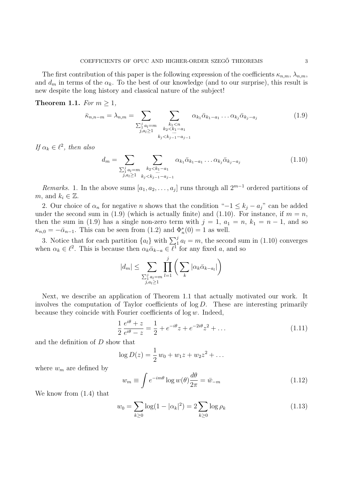The first contribution of this paper is the following expression of the coefficients  $\kappa_{n,m}$ ,  $\lambda_{n,m}$ , and  $d_m$  in terms of the  $\alpha_k$ . To the best of our knowledge (and to our surprise), this result is new despite the long history and classical nature of the subject!

Theorem 1.1. For  $m \geq 1$ ,

$$
\bar{\kappa}_{n,n-m} = \lambda_{n,m} = \sum_{\substack{\sum_{i=1}^{j} a_i = m \\ j, a_i \ge 1}} \sum_{\substack{k_1 < n \\ k_2 < k_1 - a_1 \\ k_j < k_{j-1} - a_{j-1}}} \alpha_{k_1} \bar{\alpha}_{k_1 - a_1} \dots \alpha_{k_j} \bar{\alpha}_{k_j - a_j} \tag{1.9}
$$

If  $\alpha_k \in \ell^2$ , then also

$$
d_m = \sum_{\substack{\sum_{i=1}^{j} a_i = m \\ j, a_i \ge 1}} \sum_{\substack{k_2 < k_1 - a_1 \\ k_2 < k_{j-1} - a_{j-1}}} \alpha_{k_1} \bar{\alpha}_{k_1 - a_1} \dots \alpha_{k_j} \bar{\alpha}_{k_j - a_j} \tag{1.10}
$$

*Remarks.* 1. In the above sums  $[a_1, a_2, \ldots, a_j]$  runs through all  $2^{m-1}$  ordered partitions of m, and  $k_i \in \mathbb{Z}$ .

2. Our choice of  $\alpha_n$  for negative n shows that the condition " $-1 \leq k_j - a_j$ " can be added under the second sum in (1.9) (which is actually finite) and (1.10). For instance, if  $m = n$ , then the sum in (1.9) has a single non-zero term with  $j = 1$ ,  $a_1 = n$ ,  $k_1 = n - 1$ , and so  $\kappa_{n,0} = -\bar{\alpha}_{n-1}$ . This can be seen from (1.2) and  $\Phi_n^*(0) = 1$  as well.

3. Notice that for each partition  $\{a_l\}$  with  $\sum_{i=1}^{j} a_l = m$ , the second sum in (1.10) converges when  $\alpha_k \in \ell^2$ . This is because then  $\alpha_k \bar{\alpha}_{k-a} \in \ell^1$  for any fixed a, and so

$$
|d_m| \leq \sum_{\substack{\sum_{i=1}^j a_i = m \\ j, a_i \geq 1}} \prod_{l=1}^j \left( \sum_k |\alpha_k \bar{\alpha}_{k-a_l}| \right)
$$

Next, we describe an application of Theorem 1.1 that actually motivated our work. It involves the computation of Taylor coefficients of  $\log D$ . These are interesting primarily because they coincide with Fourier coefficients of  $log w$ . Indeed,

$$
\frac{1}{2} \frac{e^{i\theta} + z}{e^{i\theta} - z} = \frac{1}{2} + e^{-i\theta}z + e^{-2i\theta}z^2 + \dots
$$
\n(1.11)

and the definition of D show that

$$
\log D(z) = \frac{1}{2} w_0 + w_1 z + w_2 z^2 + \dots
$$

where  $w_m$  are defined by

$$
w_m \equiv \int e^{-im\theta} \log w(\theta) \frac{d\theta}{2\pi} = \bar{w}_{-m}
$$
 (1.12)

We know from (1.4) that

$$
w_0 = \sum_{k \ge 0} \log(1 - |\alpha_k|^2) = 2 \sum_{k \ge 0} \log \rho_k \tag{1.13}
$$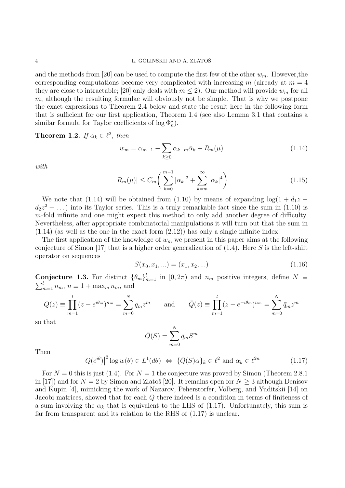#### 4 L. GOLINSKII AND A. ZLATOŠ

and the methods from [20] can be used to compute the first few of the other  $w_m$ . However, the corresponding computations become very complicated with increasing  $m$  (already at  $m = 4$ they are close to intractable; [20] only deals with  $m \leq 2$ ). Our method will provide  $w_m$  for all  $m$ , although the resulting formulae will obviously not be simple. That is why we postpone the exact expressions to Theorem 2.4 below and state the result here in the following form that is sufficient for our first application, Theorem 1.4 (see also Lemma 3.1 that contains a similar formula for Taylor coefficients of  $\log \Phi_n^*$ ).

**Theorem 1.2.** If  $\alpha_k \in \ell^2$ , then

$$
w_m = \alpha_{m-1} - \sum_{k \ge 0} \alpha_{k+m} \bar{\alpha}_k + R_m(\mu) \tag{1.14}
$$

with

$$
|R_m(\mu)| \le C_m \bigg( \sum_{k=0}^{m-1} |\alpha_k|^2 + \sum_{k=m}^{\infty} |\alpha_k|^4 \bigg) \tag{1.15}
$$

We note that (1.14) will be obtained from (1.10) by means of expanding  $log(1 + d_1 z +$  $d_2z^2 + \ldots$ ) into its Taylor series. This is a truly remarkable fact since the sum in (1.10) is m-fold infinite and one might expect this method to only add another degree of difficulty. Nevertheless, after appropriate combinatorial manipulations it will turn out that the sum in  $(1.14)$  (as well as the one in the exact form  $(2.12)$ ) has only a single infinite index!

The first application of the knowledge of  $w_m$  we present in this paper aims at the following conjecture of Simon [17] that is a higher order generalization of  $(1.4)$ . Here S is the left-shift operator on sequences

$$
S(x_0, x_1, \ldots) = (x_1, x_2, \ldots) \tag{1.16}
$$

**Conjecture 1.3.** For distinct  $\{\theta_m\}_{m=1}^l$  in  $[0, 2\pi)$  and  $n_m$  positive integers, define  $N \equiv$  $\sum_{m=1}^{l} n_m$ ,  $n \equiv 1 + \max_m n_m$ , and

$$
Q(z) \equiv \prod_{m=1}^{l} (z - e^{i\theta_m})^{n_m} = \sum_{m=0}^{N} q_m z^m \quad \text{and} \quad \bar{Q}(z) \equiv \prod_{m=1}^{l} (z - e^{-i\theta_m})^{n_m} = \sum_{m=0}^{N} \bar{q}_m z^m
$$

so that

$$
\bar{Q}(S) = \sum_{m=0}^{N} \bar{q}_m S^m
$$

Then

$$
\left|Q(e^{i\theta})\right|^2 \log w(\theta) \in L^1(d\theta) \iff \{\bar{Q}(S)\alpha\}_k \in \ell^2 \text{ and } \alpha_k \in \ell^{2n} \tag{1.17}
$$

For  $N = 0$  this is just (1.4). For  $N = 1$  the conjecture was proved by Simon (Theorem 2.8.1) in [17]) and for  $N = 2$  by Simon and Zlatoš [20]. It remains open for  $N \geq 3$  although Denisov and Kupin [4], mimicking the work of Nazarov, Peherstorfer, Volberg, and Yuditskii [14] on Jacobi matrices, showed that for each Q there indeed is a condition in terms of finiteness of a sum involving the  $\alpha_k$  that is equivalent to the LHS of (1.17). Unfortunately, this sum is far from transparent and its relation to the RHS of (1.17) is unclear.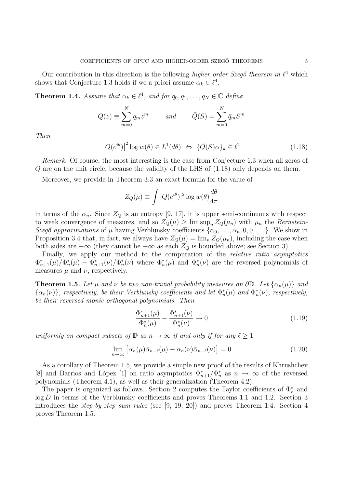Our contribution in this direction is the following higher order Szegő theorem in  $\ell^4$  which shows that Conjecture 1.3 holds if we a priori assume  $\alpha_k \in \ell^4$ .

**Theorem 1.4.** Assume that  $\alpha_k \in \ell^4$ , and for  $q_0, q_1, \ldots, q_N \in \mathbb{C}$  define

$$
Q(z) \equiv \sum_{m=0}^{N} q_m z^m \qquad and \qquad \bar{Q}(S) = \sum_{m=0}^{N} \bar{q}_m S^m
$$

Then

$$
|Q(e^{i\theta})|^2 \log w(\theta) \in L^1(d\theta) \iff {\overline{Q}(S)\alpha}_k \in \ell^2
$$
 (1.18)

Remark. Of course, the most interesting is the case from Conjecture 1.3 when all zeros of Q are on the unit circle, because the validity of the LHS of (1.18) only depends on them.

Moreover, we provide in Theorem 3.3 an exact formula for the value of

$$
Z_Q(\mu) \equiv \int |Q(e^{i\theta})|^2 \log w(\theta) \frac{d\theta}{4\pi}
$$

in terms of the  $\alpha_n$ . Since  $Z_Q$  is an entropy [9, 17], it is upper semi-continuous with respect to weak convergence of measures, and so  $Z_Q(\mu) \ge \limsup_n Z_Q(\mu_n)$  with  $\mu_n$  the Bernstein-Szegő approximations of  $\mu$  having Verblunsky coefficients  $\{\alpha_0, \ldots, \alpha_n, 0, 0, \ldots\}$ . We show in Proposition 3.4 that, in fact, we always have  $Z_Q(\mu) = \lim_n Z_Q(\mu_n)$ , including the case when both sides are  $-\infty$  (they cannot be  $+\infty$  as each  $Z_Q$  is bounded above; see Section 3).

Finally, we apply our method to the computation of the *relative ratio asymptotics*  $\Phi_{n+1}^*(\mu)/\Phi_n^*(\mu) - \Phi_{n+1}^*(\nu)/\Phi_n^*(\nu)$  where  $\Phi_n^*(\mu)$  and  $\Phi_n^*(\nu)$  are the reversed polynomials of measures  $\mu$  and  $\nu$ , respectively.

**Theorem 1.5.** Let  $\mu$  and  $\nu$  be two non-trivial probability measures on  $\partial \mathbb{D}$ . Let  $\{\alpha_n(\mu)\}\$  and  $\{\alpha_n(\nu)\}\$ , respectively, be their Verblunsky coefficients and let  $\Phi_n^*(\mu)$  and  $\Phi_n^*(\nu)$ , respectively, be their reversed monic orthogonal polynomials. Then

$$
\frac{\Phi_{n+1}^*(\mu)}{\Phi_n^*(\mu)} - \frac{\Phi_{n+1}^*(\nu)}{\Phi_n^*(\nu)} \to 0 \tag{1.19}
$$

uniformly on compact subsets of  $\mathbb D$  as  $n \to \infty$  if and only if for any  $\ell \geq 1$ 

$$
\lim_{n \to \infty} \left[ \alpha_n(\mu) \bar{\alpha}_{n-\ell}(\mu) - \alpha_n(\nu) \bar{\alpha}_{n-\ell}(\nu) \right] = 0 \tag{1.20}
$$

As a corollary of Theorem 1.5, we provide a simple new proof of the results of Khrushchev [8] and Barrios and López [1] on ratio asymptotics  $\Phi_{n+1}^*/\Phi_n^*$  as  $n \to \infty$  of the reversed polynomials (Theorem 4.1), as well as their generalization (Theorem 4.2).

The paper is organized as follows. Section 2 computes the Taylor coefficients of  $\Phi_n^*$  and log D in terms of the Verblunsky coefficients and proves Theorems 1.1 and 1.2. Section 3 introduces the step-by-step sum rules (see [9, 19, 20]) and proves Theorem 1.4. Section 4 proves Theorem 1.5.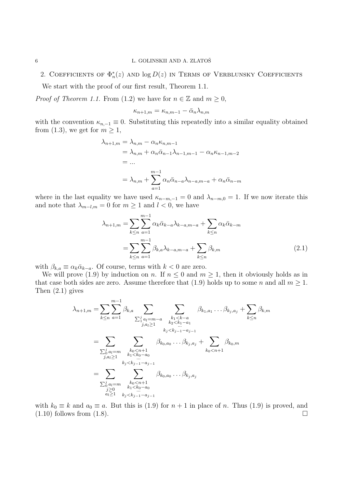2. COEFFICIENTS OF  $\Phi_n^*(z)$  and  $\log D(z)$  in Terms of Verblunsky Coefficients

We start with the proof of our first result, Theorem 1.1.

*Proof of Theorem 1.1.* From (1.2) we have for  $n \in \mathbb{Z}$  and  $m \geq 0$ ,

$$
\kappa_{n+1,m} = \kappa_{n,m-1} - \bar{\alpha}_n \lambda_{n,m}
$$

with the convention  $\kappa_{n,-1} \equiv 0$ . Substituting this repeatedly into a similar equality obtained from (1.3), we get for  $m \geq 1$ ,

$$
\lambda_{n+1,m} = \lambda_{n,m} - \alpha_n \kappa_{n,m-1}
$$
  
=  $\lambda_{n,m} + \alpha_n \bar{\alpha}_{n-1} \lambda_{n-1,m-1} - \alpha_n \kappa_{n-1,m-2}$   
= ...  
=  $\lambda_{n,m} + \sum_{a=1}^{m-1} \alpha_n \bar{\alpha}_{n-a} \lambda_{n-a,m-a} + \alpha_n \bar{\alpha}_{n-m}$ 

where in the last equality we have used  $\kappa_{n-m,-1} = 0$  and  $\lambda_{n-m,0} = 1$ . If we now iterate this and note that  $\lambda_{m-l,m} = 0$  for  $m \geq 1$  and  $l < 0$ , we have

$$
\lambda_{n+1,m} = \sum_{k \le n} \sum_{a=1}^{m-1} \alpha_k \bar{\alpha}_{k-a} \lambda_{k-a,m-a} + \sum_{k \le n} \alpha_k \bar{\alpha}_{k-m}
$$

$$
= \sum_{k \le n} \sum_{a=1}^{m-1} \beta_{k,a} \lambda_{k-a,m-a} + \sum_{k \le n} \beta_{k,m} \tag{2.1}
$$

with  $\beta_{k,a} \equiv \alpha_k \bar{\alpha}_{k-a}$ . Of course, terms with  $k < 0$  are zero.

We will prove (1.9) by induction on n. If  $n \leq 0$  and  $m \geq 1$ , then it obviously holds as in that case both sides are zero. Assume therefore that (1.9) holds up to some n and all  $m \geq 1$ . Then (2.1) gives

$$
\lambda_{n+1,m} = \sum_{k \le n} \sum_{a=1}^{m-1} \beta_{k,a} \sum_{\substack{\sum_{j,a_l=m-a}^{j} \ p_{k_1 \le k-a} \\ \sum_{j,a_l \ge 1}^{i} \ p_{k_2 \le k_1-a_1}}} \sum_{\substack{k_1 < k-a \\ k_2 < k_1-a_1 \\ k_j < k_{j-1}-a_{j-1}}} \beta_{k_1, a_1} \cdots \beta_{k_j, a_j} + \sum_{k \le n} \beta_{k,m}
$$
\n
$$
= \sum_{\substack{j,a_l=m \\ j,a_l \ge 1}} \sum_{\substack{k_0 < n+1 \\ k_1 < k_0-a_0 \\ k_2 < k_{j-1}-a_{j-1}}} \beta_{k_0, a_0} \cdots \beta_{k_j, a_j} + \sum_{k_0 < n+1} \beta_{k_0, m}
$$
\n
$$
= \sum_{\substack{j,a_l=m \\ j \ge 0 \\ k_1 < k_0-a_0}} \sum_{\substack{k_0 < n+1 \\ k_1 < k_0-a_0 \\ k_1 < k_0-a_0}} \beta_{k_0, a_0} \cdots \beta_{k_j, a_j}
$$

with  $k_0 \equiv k$  and  $a_0 \equiv a$ . But this is (1.9) for  $n + 1$  in place of n. Thus (1.9) is proved, and  $(1.10)$  follows from  $(1.8)$ .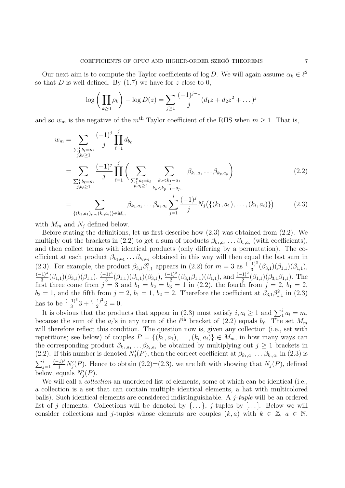Our next aim is to compute the Taylor coefficients of log D. We will again assume  $\alpha_k \in \ell^2$ so that  $D$  is well defined. By  $(1.7)$  we have for z close to 0,

$$
\log\left(\prod_{k\geq 0} \rho_k\right) - \log D(z) = \sum_{j\geq 1} \frac{(-1)^{j-1}}{j} (d_1 z + d_2 z^2 + \dots)^j
$$

and so  $w_m$  is the negative of the  $m^{\text{th}}$  Taylor coefficient of the RHS when  $m \geq 1$ . That is,

$$
w_{m} = \sum_{\substack{\sum_{j}^{j} b_{\ell} = m \\ j, b_{\ell} \ge 1}} \frac{(-1)^{j}}{j} \prod_{\ell=1}^{j} d_{b_{\ell}}
$$
  
\n
$$
= \sum_{\substack{\sum_{j}^{j} b_{\ell} = m \\ j, b_{\ell} \ge 1}} \frac{(-1)^{j}}{j} \prod_{\ell=1}^{j} \left( \sum_{\substack{\sum_{j}^{p} a_{l} = b_{\ell} \\ p, a_{l} \ge 1}} \sum_{\substack{k_{2} < k_{1} - a_{1} \\ k_{p} < k_{p-1} - a_{p-1}}} \beta_{k_{1}, a_{1}} \dots \beta_{k_{p}, a_{p}} \right) \tag{2.2}
$$
  
\n
$$
= \sum_{\{(k_{1}, a_{1}), \dots, (k_{i}, a_{i})\} \in M_{m}} \beta_{k_{1}, a_{1}} \dots \beta_{k_{i}, a_{i}} \sum_{j=1}^{i} \frac{(-1)^{j}}{j} N_{j} (\{(k_{1}, a_{1}), \dots, (k_{i}, a_{i})\}) \tag{2.3}
$$

with  $M_m$  and  $N_j$  defined below.

Before stating the definitions, let us first describe how (2.3) was obtained from (2.2). We multiply out the brackets in (2.2) to get a sum of products  $\beta_{k_1,a_1} \dots \beta_{k_i,a_i}$  (with coefficients), and then collect terms with identical products (only differing by a permutation). The coefficient at each product  $\beta_{k_1,a_1} \dots \beta_{k_i,a_i}$  obtained in this way will then equal the last sum in (2.3). For example, the product  $\beta_{3,1}\beta_{1,1}^2$  appears in (2.2) for  $m=3$  as  $\frac{(-1)^3}{3}(\beta_{3,1})(\beta_{1,1})(\beta_{1,1})$ ,  $(-1)^3$  $\frac{(3)^3}{3}(\beta_{1,1})(\beta_{3,1})(\beta_{1,1}), \frac{(-1)^3}{3}(\beta_{1,1})(\beta_{1,1})(\beta_{3,1}), \frac{(-1)^2}{2}(\beta_{3,1}\beta_{1,1})(\beta_{1,1}),$  and  $\frac{(-1)^2}{2}(\beta_{1,1})(\beta_{3,1}\beta_{1,1}).$  The first three come from  $j = 3$  and  $b_1 = b_2 = b_3 = 1$  in (2.2), the fourth from  $j = 2$ ,  $b_1 = 2$ ,  $b_2 = 1$ , and the fifth from  $j = 2$ ,  $b_1 = 1$ ,  $b_2 = 2$ . Therefore the coefficient at  $\beta_{3,1}\beta_{1,1}^2$  in (2.3) has to be  $\frac{(-1)^3}{3}3 + \frac{(-1)^2}{2}2 = 0$ .

It is obvious that the products that appear in (2.3) must satisfy  $i, a_l \geq 1$  and  $\sum_1^i a_l = m$ , because the sum of the  $a_l$ 's in any term of the  $\ell^{\text{th}}$  bracket of (2.2) equals  $b_\ell$ . The set  $M_m$ will therefore reflect this condition. The question now is, given any collection (i.e., set with repetitions; see below) of couples  $P = \{(k_1, a_1), \ldots, (k_i, a_i)\} \in M_m$ , in how many ways can the corresponding product  $\beta_{k_1,a_1} \dots \beta_{k_i,a_i}$  be obtained by multiplying out  $j \geq 1$  brackets in (2.2). If this number is denoted  $N'_j(P)$ , then the correct coefficient at  $\beta_{k_1,a_1} \dots \beta_{k_i,a_i}$  in (2.3) is  $\sum_{j=1}^i$  $\frac{(-1)^j}{j}N'_j(P)$ . Hence to obtain  $(2.2)=(2.3)$ , we are left with showing that  $N_j(P)$ , defined below, equals  $N_j'(P)$ .

We will call a *collection* an unordered list of elements, some of which can be identical (i.e., a collection is a set that can contain multiple identical elements, a hat with multicolored balls). Such identical elements are considered indistinguishable. A  $j$ -tuple will be an ordered list of j elements. Collections will be denoted by  $\{\ldots\}$ , j-tuples by  $[\ldots]$ . Below we will consider collections and j-tuples whose elements are couples  $(k, a)$  with  $k \in \mathbb{Z}$ ,  $a \in \mathbb{N}$ .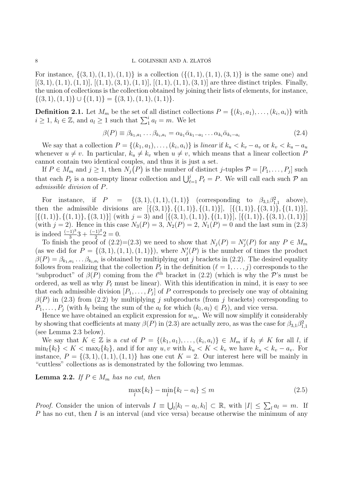For instance,  $\{(3, 1), (1, 1), (1, 1)\}$  is a collection  $(\{(1, 1), (1, 1), (3, 1)\})$  is the same one) and  $[(3, 1), (1, 1), (1, 1)], [(1, 1), (3, 1), (1, 1)], [(1, 1), (1, 1), (3, 1)]$  are three distinct triples. Finally, the union of collections is the collection obtained by joining their lists of elements, for instance,  $\{(3, 1), (1, 1)\} \cup \{(1, 1)\} = \{(3, 1), (1, 1), (1, 1)\}.$ 

**Definition 2.1.** Let  $M_m$  be the set of all distinct collections  $P = \{(k_1, a_1), \ldots, (k_i, a_i)\}\$  with  $i \geq 1$ ,  $k_l \in \mathbb{Z}$ , and  $a_l \geq 1$  such that  $\sum_1^i a_l = m$ . We let

$$
\beta(P) \equiv \beta_{k_1, a_1} \dots \beta_{k_i, a_i} = \alpha_{k_1} \overline{\alpha}_{k_1 - a_1} \dots \alpha_{k_i} \overline{\alpha}_{k_i - a_i}
$$
\n(2.4)

We say that a collection  $P = \{(k_1, a_1), \ldots, (k_i, a_i)\}\$ is linear if  $k_u < k_v - a_v$  or  $k_v < k_u - a_u$ whenever  $u \neq v$ . In particular,  $k_u \neq k_v$  when  $u \neq v$ , which means that a linear collection P cannot contain two identical couples, and thus it is just a set.

If  $P \in M_m$  and  $j \geq 1$ , then  $N_j(P)$  is the number of distinct j-tuples  $P = [P_1, \ldots, P_j]$  such that each  $P_\ell$  is a non-empty linear collection and  $\bigcup_{\ell=1}^j P_\ell = P$ . We will call each such  $P$  and admissible division of P.

For instance, if  $P = \{(3, 1), (1, 1), (1, 1)\}$  (corresponding to  $\beta_{3,1}\beta_{1,1}^2$  above), then the admissible divisions are  $[\{(3,1)\}, \{(1,1)\}, \{(1,1)\}, \{(3,1)\}, \{(1,1)\}\],$  $[\{(1,1)\}, \{(1,1)\}, \{(3,1)\}]$  (with  $j = 3$ ) and  $[\{(3,1), (1,1)\}, \{(1,1)\}, \{(3,1), (1,1)\}]$ (with  $j = 2$ ). Hence in this case  $N_3(P) = 3$ ,  $N_2(P) = 2$ ,  $N_1(P) = 0$  and the last sum in (2.3) is indeed  $\frac{(-1)^3}{3}3 + \frac{(-1)^2}{2}2 = 0.$ 

To finish the proof of  $(2.2)=(2.3)$  we need to show that  $N_j(P) = N'_j(P)$  for any  $P \in M_m$ (as we did for  $P = \{(3,1), (1,1), (1,1)\}\)$ , where  $N'_j(P)$  is the number of times the product  $\beta(P) = \beta_{k_1, a_1} \dots \beta_{k_i, a_i}$  is obtained by multiplying out j brackets in (2.2). The desired equality follows from realizing that the collection  $P_\ell$  in the definition  $(\ell = 1, \ldots, j)$  corresponds to the "subproduct" of  $\beta(P)$  coming from the  $\ell^{\text{th}}$  bracket in (2.2) (which is why the P's must be ordered, as well as why  $P_\ell$  must be linear). With this identification in mind, it is easy to see that each admissible division  $[P_1, \ldots, P_j]$  of P corresponds to precisely one way of obtaining  $\beta(P)$  in (2.3) from (2.2) by multiplying j subproducts (from j brackets) corresponding to  $P_1, \ldots, P_j$  (with  $b_\ell$  being the sum of the  $a_l$  for which  $(k_l, a_l) \in P_\ell$ ), and vice versa.

Hence we have obtained an explicit expression for  $w_m$ . We will now simplify it considerably by showing that coefficients at many  $\beta(P)$  in (2.3) are actually zero, as was the case for  $\beta_{3,1}\beta_{1,1}^2$ (see Lemma 2.3 below).

We say that  $K \in \mathbb{Z}$  is a cut of  $P = \{(k_1, a_1), \ldots, (k_i, a_i)\} \in M_m$  if  $k_l \neq K$  for all l, if  $\min_{l} \{k_l\} < K < \max_{l} \{k_l\}$ , and if for any  $u, v$  with  $k_u < K < k_v$  we have  $k_u < k_v - a_v$ . For instance,  $P = \{(3, 1), (1, 1), (1, 1)\}\$  has one cut  $K = 2$ . Our interest here will be mainly in "cuttless" collections as is demonstrated by the following two lemmas.

**Lemma 2.2.** If  $P \in M_m$  has no cut, then

$$
\max_{l} \{k_{l}\} - \min_{l} \{k_{l} - a_{l}\} \leq m \tag{2.5}
$$

*Proof.* Consider the union of intervals  $I = \bigcup_i [k_i - a_i, k_i] \subset \mathbb{R}$ , with  $|I| \leq \sum_i a_i = m$ . If P has no cut, then I is an interval (and vice versa) because otherwise the minimum of any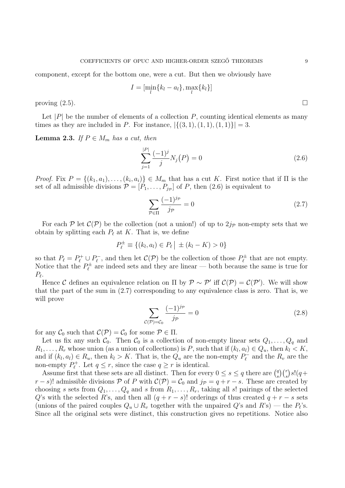component, except for the bottom one, were a cut. But then we obviously have

$$
I = [\min_l \{k_l - a_l\}, \max_l \{k_l\}]
$$

proving  $(2.5)$ .

Let  $|P|$  be the number of elements of a collection  $P$ , counting identical elements as many times as they are included in P. For instance,  $|\{(3, 1), (1, 1), (1, 1)\}| = 3$ .

**Lemma 2.3.** If  $P \in M_m$  has a cut, then

$$
\sum_{j=1}^{|P|} \frac{(-1)^j}{j} N_j(P) = 0
$$
\n(2.6)

*Proof.* Fix  $P = \{(k_1, a_1), \ldots, (k_i, a_i)\}\in M_m$  that has a cut K. First notice that if  $\Pi$  is the set of all admissible divisions  $\mathcal{P} = [P_1, \ldots, P_{j_{\mathcal{P}}}]$  of P, then  $(2.6)$  is equivalent to

$$
\sum_{\mathcal{P}\in\Pi} \frac{(-1)^{j_{\mathcal{P}}}}{j_{\mathcal{P}}} = 0
$$
\n(2.7)

For each  $P$  let  $C(P)$  be the collection (not a union!) of up to  $2j_P$  non-empty sets that we obtain by splitting each  $P_\ell$  at K. That is, we define

$$
P_{\ell}^{\pm} \equiv \{(k_l, a_l) \in P_{\ell} \mid \pm (k_l - K) > 0\}
$$

so that  $P_{\ell} = P_{\ell}^+ \cup P_{\ell}^ P_{\ell}^{-}$ , and then let  $\mathcal{C}(\mathcal{P})$  be the collection of those  $P_{\ell}^{\pm}$  $v_{\ell}^{\pm}$  that are not empty. Notice that the  $P_{\ell}^{\pm}$  $\chi_{\ell}^{\pm}$  are indeed sets and they are linear — both because the same is true for  $P_{\ell}$ .

Hence C defines an equivalence relation on  $\Pi$  by  $\mathcal{P} \sim \mathcal{P}'$  iff  $\mathcal{C}(\mathcal{P}) = \mathcal{C}(\mathcal{P}')$ . We will show that the part of the sum in (2.7) corresponding to any equivalence class is zero. That is, we will prove

$$
\sum_{\mathcal{C}(\mathcal{P}) = \mathcal{C}_0} \frac{(-1)^{j_{\mathcal{P}}}}{j_{\mathcal{P}}} = 0
$$
\n(2.8)

for any  $\mathcal{C}_0$  such that  $\mathcal{C}(\mathcal{P}) = \mathcal{C}_0$  for some  $\mathcal{P} \in \Pi$ .

Let us fix any such  $C_0$ . Then  $C_0$  is a collection of non-empty linear sets  $Q_1, \ldots, Q_q$  and  $R_1, \ldots, R_r$  whose union (as a union of collections) is P, such that if  $(k_l, a_l) \in Q_u$ , then  $k_l < K$ , and if  $(k_l, a_l) \in R_u$ , then  $k_l > K$ . That is, the  $Q_u$  are the non-empty  $P_{\ell}^ P_{\ell}^-$  and the  $R_v$  are the non-empty  $P_{\ell}^+$ <sup> $p_t^+$ </sup>. Let  $q \leq r$ , since the case  $q \geq r$  is identical.

Assume first that these sets are all distinct. Then for every  $0 \leq s \leq q$  there are  $\binom{q}{s}$  ${s \choose s}{r \choose s}s!(q+$  $r - s$ )! admissible divisions P of P with  $\mathcal{C}(\mathcal{P}) = \mathcal{C}_0$  and  $j_{\mathcal{P}} = q + r - s$ . These are created by choosing s sets from  $Q_1, \ldots, Q_q$  and s from  $R_1, \ldots, R_r$ , taking all s! pairings of the selected Q's with the selected R's, and then all  $(q + r - s)!$  orderings of thus created  $q + r - s$  sets (unions of the paired couples  $Q_u \cup R_v$  together with the unpaired  $Q$ 's and  $R$ 's) — the  $P_\ell$ 's. Since all the original sets were distinct, this construction gives no repetitions. Notice also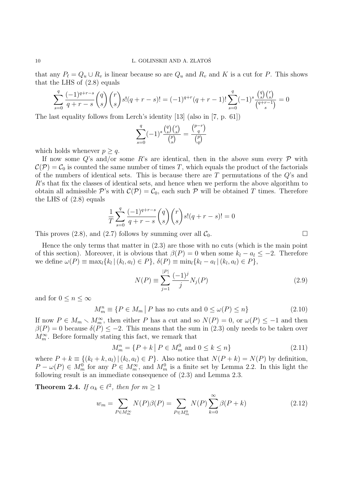that any  $P_\ell = Q_u \cup R_v$  is linear because so are  $Q_u$  and  $R_v$  and K is a cut for P. This shows that the LHS of (2.8) equals

$$
\sum_{s=0}^{q} \frac{(-1)^{q+r-s}}{q+r-s} {q \choose s} {r \choose s} s! (q+r-s)! = (-1)^{q+r} (q+r-1)! \sum_{s=0}^{q} (-1)^s \frac{{q \choose s} {r \choose s}}{{q+r-1 \choose s}} = 0
$$

The last equality follows from Lerch's identity [13] (also in [7, p. 61])

$$
\sum_{s=0}^{q} (-1)^s \frac{\binom{q}{s} \binom{r}{s}}{\binom{p}{s}} = \frac{\binom{p-r}{q}}{\binom{p}{q}}
$$

which holds whenever  $p > q$ .

If now some Q's and/or some R's are identical, then in the above sum every  $\mathcal P$  with  $\mathcal{C}(\mathcal{P}) = \mathcal{C}_0$  is counted the same number of times T, which equals the product of the factorials of the numbers of identical sets. This is because there are  $T$  permutations of the  $Q$ 's and R's that fix the classes of identical sets, and hence when we perform the above algorithm to obtain all admissible P's with  $\mathcal{C}(\mathcal{P}) = \mathcal{C}_0$ , each such P will be obtained T times. Therefore the LHS of (2.8) equals

$$
\frac{1}{T} \sum_{s=0}^{q} \frac{(-1)^{q+r-s}}{q+r-s} {q \choose s} {r \choose s} s!(q+r-s)! = 0
$$

This proves (2.8), and (2.7) follows by summing over all  $\mathcal{C}_0$ .

Hence the only terms that matter in (2.3) are those with no cuts (which is the main point of this section). Moreover, it is obvious that  $\beta(P) = 0$  when some  $k_l - a_l \leq -2$ . Therefore we define  $\omega(P) \equiv \max_l \{ k_l | (k_l, a_l) \in P \}, \, \delta(P) \equiv \min_l \{ k_l - a_l | (k_l, a_l) \in P \},\,$ 

$$
N(P) \equiv \sum_{j=1}^{|P|} \frac{(-1)^j}{j} N_j(P)
$$
\n(2.9)

and for  $0 \leq n \leq \infty$ 

 $M_m^n \equiv \{ P \in M_m \mid P \text{ has no cuts and } 0 \le \omega(P) \le n \}$  (2.10)

If now  $P \in M_m \setminus M_m^{\infty}$ , then either P has a cut and so  $N(P) = 0$ , or  $\omega(P) \le -1$  and then  $\beta(P) = 0$  because  $\delta(P) \leq -2$ . This means that the sum in (2.3) only needs to be taken over  $M_m^\infty.$  Before formally stating this fact, we remark that

$$
M_m^n = \{ P + k \mid P \in M_m^0 \text{ and } 0 \le k \le n \}
$$
\n(2.11)

where  $P + k \equiv \{(k_l + k, a_l) | (k_l, a_l) \in P\}$ . Also notice that  $N(P + k) = N(P)$  by definition,  $P - \omega(P) \in M_m^0$  for any  $P \in M_m^{\infty}$ , and  $M_m^0$  is a finite set by Lemma 2.2. In this light the following result is an immediate consequence of (2.3) and Lemma 2.3.

**Theorem 2.4.** If  $\alpha_k \in \ell^2$ , then for  $m \geq 1$ 

$$
w_m = \sum_{P \in M_m^{\infty}} N(P)\beta(P) = \sum_{P \in M_m^0} N(P) \sum_{k=0}^{\infty} \beta(P+k)
$$
 (2.12)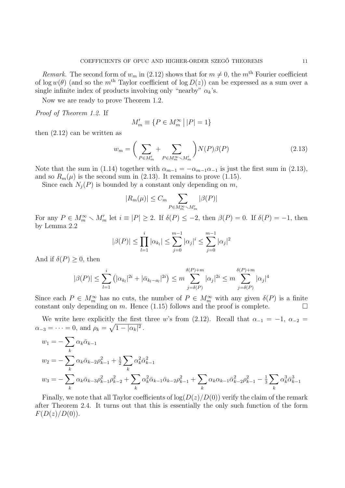Remark. The second form of  $w_m$  in (2.12) shows that for  $m \neq 0$ , the  $m<sup>th</sup>$  Fourier coefficient of  $\log w(\theta)$  (and so the m<sup>th</sup> Taylor coefficient of  $\log D(z)$ ) can be expressed as a sum over a single infinite index of products involving only "nearby"  $\alpha_k$ 's.

Now we are ready to prove Theorem 1.2.

Proof of Theorem 1.2. If

$$
M'_m \equiv \{ P \in M_m^{\infty} \, \big| \, |P| = 1 \}
$$

then (2.12) can be written as

$$
w_m = \left(\sum_{P \in M'_m} + \sum_{P \in M_m^{\infty} \smallsetminus M'_m} \right) N(P)\beta(P) \tag{2.13}
$$

Note that the sum in (1.14) together with  $\alpha_{m-1} = -\alpha_{m-1}\alpha_{-1}$  is just the first sum in (2.13), and so  $R_m(\mu)$  is the second sum in (2.13). It remains to prove (1.15).

Since each  $N_j(P)$  is bounded by a constant only depending on m,

$$
|R_m(\mu)| \le C_m \sum_{P \in M_m^{\infty} \setminus M_m'} |\beta(P)|
$$

For any  $P \in M_m^{\infty} \setminus M_m'$  let  $i \equiv |P| \ge 2$ . If  $\delta(P) \le -2$ , then  $\beta(P) = 0$ . If  $\delta(P) = -1$ , then by Lemma 2.2

$$
|\beta(P)| \le \prod_{l=1}^i |\alpha_{k_l}| \le \sum_{j=0}^{m-1} |\alpha_j|^i \le \sum_{j=0}^{m-1} |\alpha_j|^2
$$

And if  $\delta(P) \geq 0$ , then

$$
|\beta(P)| \leq \sum_{l=1}^{i} (|\alpha_{k_l}|^{2i} + |\bar{\alpha}_{k_l - a_l}|^{2i}) \leq m \sum_{j=\delta(P)}^{\delta(P)+m} |\alpha_j|^{2i} \leq m \sum_{j=\delta(P)}^{\delta(P)+m} |\alpha_j|^4
$$

Since each  $P \in M_m^{\infty}$  has no cuts, the number of  $P \in M_m^{\infty}$  with any given  $\delta(P)$  is a finite constant only depending on m. Hence (1.15) follows and the proof is complete.  $\Box$ 

We write here explicitly the first three w's from (2.12). Recall that  $\alpha_{-1} = -1$ ,  $\alpha_{-2} =$  $\alpha_{-3} = \cdots = 0$ , and  $\rho_k = \sqrt{1 - |\alpha_k|^2}$ .

$$
w_1 = -\sum_k \alpha_k \bar{\alpha}_{k-1}
$$
  
\n
$$
w_2 = -\sum_k \alpha_k \bar{\alpha}_{k-2} \rho_{k-1}^2 + \frac{1}{2} \sum_k \alpha_k^2 \bar{\alpha}_{k-1}^2
$$
  
\n
$$
w_3 = -\sum_k \alpha_k \bar{\alpha}_{k-3} \rho_{k-1}^2 \rho_{k-2}^2 + \sum_k \alpha_k^2 \bar{\alpha}_{k-1} \bar{\alpha}_{k-2} \rho_{k-1}^2 + \sum_k \alpha_k \alpha_{k-1} \bar{\alpha}_{k-2}^2 \rho_{k-1}^2 - \frac{1}{3} \sum_k \alpha_k^3 \bar{\alpha}_{k-1}^3
$$

Finally, we note that all Taylor coefficients of  $log(D(z)/D(0))$  verify the claim of the remark after Theorem 2.4. It turns out that this is essentially the only such function of the form  $F(D(z)/D(0)).$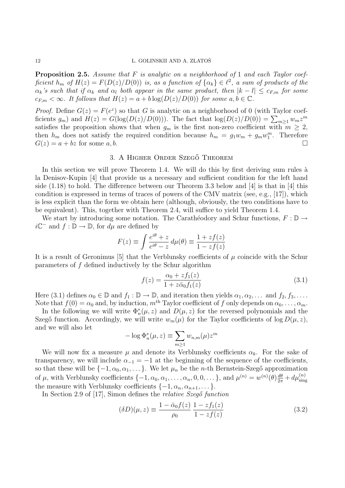**Proposition 2.5.** Assume that  $F$  is analytic on a neighborhood of 1 and each Taylor coefficient  $h_m$  of  $H(z) = F(D(z)/D(0))$  is, as a function of  $\{\alpha_k\} \in \ell^2$ , a sum of products of the  $\alpha_k$ 's such that if  $\alpha_k$  and  $\alpha_l$  both appear in the same product, then  $|k - l| \leq c_{F,m}$  for some  $c_{F,m} < \infty$ . It follows that  $H(z) = a + b \log(D(z)/D(0))$  for some  $a, b \in \mathbb{C}$ .

*Proof.* Define  $G(z) = F(e^z)$  so that G is analytic on a neighborhood of 0 (with Taylor coefficients  $g_m$ ) and  $H(z) = G(\log(D(z)/D(0)))$ . The fact that  $\log(D(z)/D(0)) = \sum_{m\geq 1} w_m z^m$ satisfies the proposition shows that when  $g_m$  is the first non-zero coefficient with  $m \geq 2$ , then  $h_m$  does not satisfy the required condition because  $h_m = g_1 w_m + g_m w_1^m$ . Therefore  $G(z) = a + bz$  for some  $a, b$ .

## 3. A HIGHER ORDER SZEGŐ THEOREM

In this section we will prove Theorem 1.4. We will do this by first deriving sum rules à la Denisov-Kupin [4] that provide us a necessary and sufficient condition for the left hand side  $(1.18)$  to hold. The difference between our Theorem 3.3 below and [4] is that in [4] this condition is expressed in terms of traces of powers of the CMV matrix (see, e.g., [17]), which is less explicit than the form we obtain here (although, obviously, the two conditions have to be equivalent). This, together with Theorem 2.4, will suffice to yield Theorem 1.4.

We start by introducing some notation. The Carathéodory and Schur functions,  $F : \mathbb{D} \to$  $i\mathbb{C}^-$  and  $f : \mathbb{D} \to \mathbb{D}$ , for  $d\mu$  are defined by

$$
F(z) \equiv \int \frac{e^{i\theta} + z}{e^{i\theta} - z} \, d\mu(\theta) \equiv \frac{1 + z f(z)}{1 - z f(z)}
$$

It is a result of Geronimus [5] that the Verblunsky coefficients of  $\mu$  coincide with the Schur parameters of f defined inductively by the Schur algorithm

$$
f(z) = \frac{\alpha_0 + z f_1(z)}{1 + z \bar{\alpha}_0 f_1(z)}
$$
\n(3.1)

Here (3.1) defines  $\alpha_0 \in \mathbb{D}$  and  $f_1 : \mathbb{D} \to \mathbb{D}$ , and iteration then yields  $\alpha_1, \alpha_2, \ldots$  and  $f_2, f_3, \ldots$ . Note that  $f(0) = \alpha_0$  and, by induction,  $m^{\text{th}}$  Taylor coefficient of f only depends on  $\alpha_0, \ldots, \alpha_m$ .

In the following we will write  $\Phi_n^*(\mu, z)$  and  $D(\mu, z)$  for the reversed polynomials and the Szegő function. Accordingly, we will write  $w_m(\mu)$  for the Taylor coefficients of log  $D(\mu, z)$ , and we will also let

$$
-\log \Phi_n^*(\mu, z) \equiv \sum_{m \ge 1} w_{n,m}(\mu) z^m
$$

We will now fix a measure  $\mu$  and denote its Verblunsky coefficients  $\alpha_k$ . For the sake of transparency, we will include  $\alpha_{-1} = -1$  at the beginning of the sequence of the coefficients, so that these will be  $\{-1, \alpha_0, \alpha_1, \dots\}$ . We let  $\mu_n$  be the *n*-th Bernstein-Szegő approximation of  $\mu$ , with Verblunsky coefficients  $\{-1, \alpha_0, \alpha_1, \ldots, \alpha_n, 0, 0, \ldots\}$ , and  $\mu^{(n)} = w^{(n)}(\theta) \frac{d\theta}{2\pi} + d\mu^{(n)}_{\text{sing}}$ the measure with Verblunsky coefficients  $\{-1, \alpha_n, \alpha_{n+1}, \dots\}.$ 

In Section 2.9 of [17], Simon defines the *relative Szegő* function

$$
(\delta D)(\mu, z) \equiv \frac{1 - \bar{\alpha}_0 f(z)}{\rho_0} \frac{1 - z f_1(z)}{1 - z f(z)}
$$
(3.2)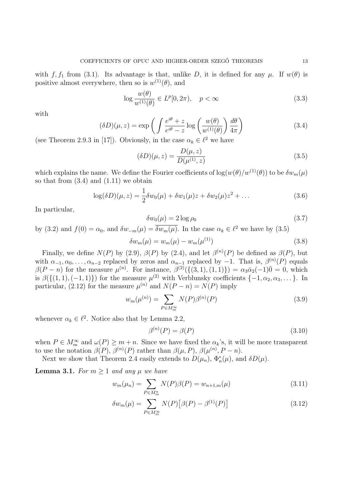with f, f<sub>1</sub> from (3.1). Its advantage is that, unlike D, it is defined for any  $\mu$ . If  $w(\theta)$  is positive almost everywhere, then so is  $w^{(1)}(\theta)$ , and

$$
\log \frac{w(\theta)}{w^{(1)}(\theta)} \in L^p[0, 2\pi), \quad p < \infty \tag{3.3}
$$

with

$$
(\delta D)(\mu, z) = \exp\left(\int \frac{e^{i\theta} + z}{e^{i\theta} - z} \log\left(\frac{w(\theta)}{w^{(1)}(\theta)}\right) \frac{d\theta}{4\pi}\right)
$$
(3.4)

(see Theorem 2.9.3 in [17]). Obviously, in the case  $\alpha_k \in \ell^2$  we have

$$
(\delta D)(\mu, z) = \frac{D(\mu, z)}{D(\mu^{(1)}, z)}
$$
\n(3.5)

which explains the name. We define the Fourier coefficients of  $\log(w(\theta)/w^{(1)}(\theta))$  to be  $\delta w_m(\mu)$ so that from  $(3.4)$  and  $(1.11)$  we obtain

$$
\log(\delta D)(\mu, z) = \frac{1}{2}\delta w_0(\mu) + \delta w_1(\mu)z + \delta w_2(\mu)z^2 + \dots \tag{3.6}
$$

In particular,

$$
\delta w_0(\mu) = 2 \log \rho_0 \tag{3.7}
$$

by (3.2) and 
$$
f(0) = \alpha_0
$$
, and  $\delta w_{-m}(\mu) = \overline{\delta w_m(\mu)}$ . In the case  $\alpha_k \in \ell^2$  we have by (3.5)

 $\delta w_m(\mu) = w_m(\mu) - w_m(\mu^{(1)})$  $(3.8)$ 

Finally, we define  $N(P)$  by (2.9),  $\beta(P)$  by (2.4), and let  $\beta^{(n)}(P)$  be defined as  $\beta(P)$ , but with  $\alpha_{-1}, \alpha_0, \ldots, \alpha_{n-2}$  replaced by zeros and  $\alpha_{n-1}$  replaced by  $-1$ . That is,  $\beta^{(n)}(P)$  equals  $\beta(P-n)$  for the measure  $\mu^{(n)}$ . For instance,  $\beta^{(2)}(\{(3,1),(1,1)\}) = \alpha_3 \bar{\alpha}_2(-1)\bar{0} = 0$ , which is  $\beta(\{(1,1),(-1,1)\})$  for the measure  $\mu^{(2)}$  with Verblunsky coefficients  $\{-1,\alpha_2,\alpha_3,\dots\}$ . In particular, (2.12) for the measure  $\mu^{(n)}$  and  $N(P - n) = N(P)$  imply

$$
w_m(\mu^{(n)}) = \sum_{P \in M_m^{\infty}} N(P)\beta^{(n)}(P)
$$
\n(3.9)

whenever  $\alpha_k \in \ell^2$ . Notice also that by Lemma 2.2,

$$
\beta^{(n)}(P) = \beta(P) \tag{3.10}
$$

when  $P \in M_m^{\infty}$  and  $\omega(P) \geq m + n$ . Since we have fixed the  $\alpha_k$ 's, it will be more transparent to use the notation  $\beta(P)$ ,  $\beta^{(n)}(P)$  rather than  $\beta(\mu, P)$ ,  $\beta(\mu^{(n)}, P - n)$ .

Next we show that Theorem 2.4 easily extends to  $D(\mu_n)$ ,  $\Phi_n^*(\mu)$ , and  $\delta D(\mu)$ .

**Lemma 3.1.** For  $m \geq 1$  and any  $\mu$  we have

$$
w_m(\mu_n) = \sum_{P \in M_m^n} N(P)\beta(P) = w_{n+1,m}(\mu)
$$
\n(3.11)

$$
\delta w_m(\mu) = \sum_{P \in M_m^{\infty}} N(P) \left[ \beta(P) - \beta^{(1)}(P) \right] \tag{3.12}
$$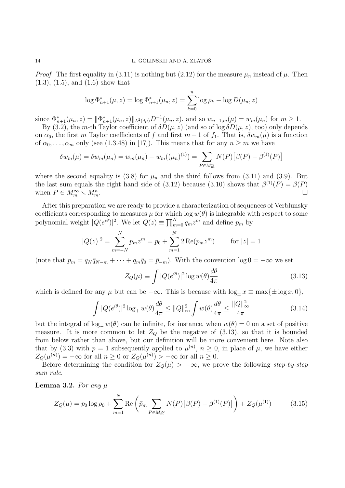*Proof.* The first equality in (3.11) is nothing but (2.12) for the measure  $\mu_n$  instead of  $\mu$ . Then  $(1.3)$ ,  $(1.5)$ , and  $(1.6)$  show that

$$
\log \Phi_{n+1}^*(\mu, z) = \log \Phi_{n+1}^*(\mu, z) = \sum_{k=0}^n \log \rho_k - \log D(\mu, z)
$$

since  $\Phi_{n+1}^*(\mu_n, z) = \|\Phi_{n+1}^*(\mu_n, z)\|_{L^2(d\mu)} D^{-1}(\mu_n, z)$ , and so  $w_{n+1,m}(\mu) = w_m(\mu_n)$  for  $m \ge 1$ .

By (3.2), the m-th Taylor coefficient of  $\delta D(\mu, z)$  (and so of log  $\delta D(\mu, z)$ , too) only depends on  $\alpha_0$ , the first m Taylor coefficients of f and first m – 1 of f<sub>1</sub>. That is,  $\delta w_m(\mu)$  is a function of  $\alpha_0, \ldots, \alpha_m$  only (see (1.3.48) in [17]). This means that for any  $n \geq m$  we have

$$
\delta w_m(\mu) = \delta w_m(\mu_n) = w_m(\mu_n) - w_m((\mu_n)^{(1)}) = \sum_{P \in M_m^n} N(P) [\beta(P) - \beta^{(1)}(P)]
$$

where the second equality is (3.8) for  $\mu_n$  and the third follows from (3.11) and (3.9). But the last sum equals the right hand side of (3.12) because (3.10) shows that  $\beta^{(1)}(P) = \beta(P)$ when  $P \in M_m^{\infty} \setminus M_m^n$  $\begin{array}{c}\nm\end{array}$ .

After this preparation we are ready to provide a characterization of sequences of Verblunsky coefficients corresponding to measures  $\mu$  for which log  $w(\theta)$  is integrable with respect to some polynomial weight  $|Q(e^{i\theta})|^2$ . We let  $Q(z) \equiv \prod_{m=0}^{N} q_m z^m$  and define  $p_m$  by

$$
|Q(z)|^2 = \sum_{m=-N}^{N} p_m z^m = p_0 + \sum_{m=1}^{N} 2 \operatorname{Re}(p_m z^m) \quad \text{for } |z| = 1
$$

(note that  $p_m = q_N \bar{q}_{N-m} + \cdots + q_m \bar{q}_0 = \bar{p}_{-m}$ ). With the convention  $\log 0 = -\infty$  we set

$$
Z_Q(\mu) \equiv \int |Q(e^{i\theta})|^2 \log w(\theta) \frac{d\theta}{4\pi}
$$
 (3.13)

which is defined for any  $\mu$  but can be  $-\infty$ . This is because with  $\log_{\pm} x \equiv \max{\{\pm \log x, 0\}},$ 

$$
\int |Q(e^{i\theta})|^2 \log_+ w(\theta) \frac{d\theta}{4\pi} \le ||Q||_{\infty}^2 \int w(\theta) \frac{d\theta}{4\pi} \le \frac{||Q||_{\infty}^2}{4\pi} \tag{3.14}
$$

but the integral of log<sub>−</sub>  $w(\theta)$  can be infinite, for instance, when  $w(\theta) = 0$  on a set of positive measure. It is more common to let  $Z_Q$  be the negative of (3.13), so that it is bounded from below rather than above, but our definition will be more convenient here. Note also that by (3.3) with  $p = 1$  subsequently applied to  $\mu^{(n)}$ ,  $n \geq 0$ , in place of  $\mu$ , we have either  $Z_Q(\mu^{(n)}) = -\infty$  for all  $n \geq 0$  or  $Z_Q(\mu^{(n)}) > -\infty$  for all  $n \geq 0$ .

Before determining the condition for  $Z_{\mathcal{Q}}(\mu) > -\infty$ , we prove the following step-by-step sum rule.

**Lemma 3.2.** For any  $\mu$ 

$$
Z_Q(\mu) = p_0 \log \rho_0 + \sum_{m=1}^N \text{Re} \left( \bar{p}_m \sum_{P \in M_m^{\infty}} N(P) \left[ \beta(P) - \beta^{(1)}(P) \right] \right) + Z_Q(\mu^{(1)}) \tag{3.15}
$$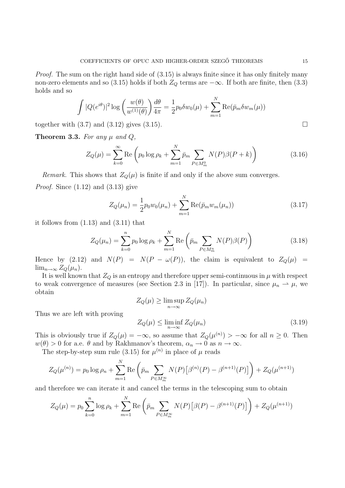Proof. The sum on the right hand side of  $(3.15)$  is always finite since it has only finitely many non-zero elements and so (3.15) holds if both  $Z_Q$  terms are  $-\infty$ . If both are finite, then (3.3) holds and so

$$
\int |Q(e^{i\theta})|^2 \log \left(\frac{w(\theta)}{w^{(1)}(\theta)}\right) \frac{d\theta}{4\pi} = \frac{1}{2} p_0 \delta w_0(\mu) + \sum_{m=1}^N \text{Re}(\bar{p}_m \delta w_m(\mu))
$$

together with  $(3.7)$  and  $(3.12)$  gives  $(3.15)$ .

**Theorem 3.3.** For any  $\mu$  and  $Q$ ,

$$
Z_Q(\mu) = \sum_{k=0}^{\infty} \text{Re}\left(p_0 \log \rho_k + \sum_{m=1}^{N} \bar{p}_m \sum_{P \in M_m^0} N(P)\beta(P+k)\right)
$$
(3.16)

*Remark.* This shows that  $Z_Q(\mu)$  is finite if and only if the above sum converges. *Proof.* Since  $(1.12)$  and  $(3.13)$  give

$$
Z_Q(\mu_n) = \frac{1}{2} p_0 w_0(\mu_n) + \sum_{m=1}^{N} \text{Re}(\bar{p}_m w_m(\mu_n))
$$
\n(3.17)

it follows from (1.13) and (3.11) that

$$
Z_Q(\mu_n) = \sum_{k=0}^n p_0 \log \rho_k + \sum_{m=1}^N \text{Re}\left(\bar{p}_m \sum_{P \in M_m^n} N(P)\beta(P)\right)
$$
(3.18)

Hence by (2.12) and  $N(P) = N(P - \omega(P))$ , the claim is equivalent to  $Z_Q(\mu)$  =  $\lim_{n\to\infty} Z_Q(\mu_n)$ .

It is well known that  $Z_Q$  is an entropy and therefore upper semi-continuous in  $\mu$  with respect to weak convergence of measures (see Section 2.3 in [17]). In particular, since  $\mu_n \rightharpoonup \mu$ , we obtain

$$
Z_Q(\mu) \ge \limsup_{n \to \infty} Z_Q(\mu_n)
$$
  

$$
Z_Q(\mu) < \liminf_{n \to \infty} Z_Q(\mu_n)
$$
 (3)

Thus we are left with proving

$$
Z_Q(\mu) \le \liminf_{n \to \infty} Z_Q(\mu_n) \tag{3.19}
$$

This is obviously true if  $Z_Q(\mu) = -\infty$ , so assume that  $Z_Q(\mu^{(n)}) > -\infty$  for all  $n \geq 0$ . Then  $w(\theta) > 0$  for a.e.  $\theta$  and by Rakhmanov's theorem,  $\alpha_n \to 0$  as  $n \to \infty$ .

The step-by-step sum rule (3.15) for  $\mu^{(n)}$  in place of  $\mu$  reads

$$
Z_Q(\mu^{(n)}) = p_0 \log \rho_n + \sum_{m=1}^N \text{Re} \left( \bar{p}_m \sum_{P \in M_m^{\infty}} N(P) \left[ \beta^{(n)}(P) - \beta^{(n+1)}(P) \right] \right) + Z_Q(\mu^{(n+1)})
$$

and therefore we can iterate it and cancel the terms in the telescoping sum to obtain

$$
Z_Q(\mu) = p_0 \sum_{k=0}^n \log \rho_k + \sum_{m=1}^N \text{Re} \left( \bar{p}_m \sum_{P \in M_m^{\infty}} N(P) \left[ \beta(P) - \beta^{(n+1)}(P) \right] \right) + Z_Q(\mu^{(n+1)})
$$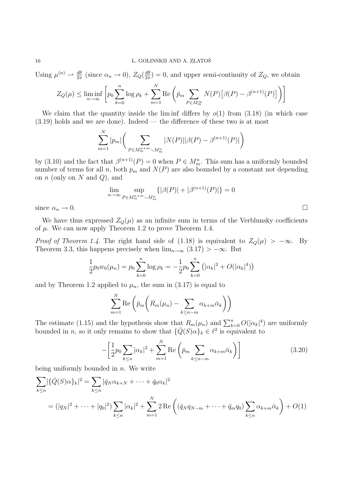Using  $\mu^{(n)} \rightharpoonup \frac{d\theta}{2\pi}$  (since  $\alpha_n \to 0$ ),  $Z_Q(\frac{d\theta}{2\pi})$  $\frac{d\theta}{2\pi}$  = 0, and upper semi-continuity of  $Z_Q$ , we obtain

$$
Z_Q(\mu) \le \liminf_{n \to \infty} \left[ p_0 \sum_{k=0}^n \log \rho_k + \sum_{m=1}^N \text{Re} \left( \bar{p}_m \sum_{P \in M_m^{\infty}} N(P) \left[ \beta(P) - \beta^{(n+1)}(P) \right] \right) \right]
$$

We claim that the quantity inside the lim inf differs by  $o(1)$  from (3.18) (in which case  $(3.19)$  holds and we are done). Indeed — the difference of these two is at most

$$
\sum_{m=1}^{N} |p_m| \left( \sum_{P \in M_m^{n+m} \sim M_m^n} |N(P)| |\beta(P) - \beta^{(n+1)}(P)| \right)
$$

by (3.10) and the fact that  $\beta^{(n+1)}(P) = 0$  when  $P \in M_m^n$ . This sum has a uniformly bounded number of terms for all n, both  $p_m$  and  $N(P)$  are also bounded by a constant not depending on  $n$  (only on  $N$  and  $Q$ ), and

$$
\lim_{n \to \infty} \sup_{P \in M_m^{n+m} \backslash M_m^n} \{ |\beta(P)| + |\beta^{(n+1)}(P)| \} = 0
$$

since  $\alpha_n \to 0$ .

We have thus expressed  $Z_{Q}(\mu)$  as an infinite sum in terms of the Verblunsky coefficients of  $\mu$ . We can now apply Theorem 1.2 to prove Theorem 1.4.

*Proof of Theorem 1.4.* The right hand side of (1.18) is equivalent to  $Z_Q(\mu) > -\infty$ . By Theorem 3.3, this happens precisely when  $\lim_{n\to\infty}$  (3.17) > -∞. But

$$
\frac{1}{2}p_0w_0(\mu_n) = p_0 \sum_{k=0}^n \log \rho_k = -\frac{1}{2}p_0 \sum_{k=0}^n (|\alpha_k|^2 + O(|\alpha_k|^4))
$$

and by Theorem 1.2 applied to  $\mu_n$ , the sum in (3.17) is equal to

$$
\sum_{m=1}^{N} \text{Re}\left(\bar{p}_{m}\left(R_{m}(\mu_{n}) - \sum_{k \leq n-m} \alpha_{k+m} \bar{\alpha}_{k}\right)\right)
$$

The estimate (1.15) and the hypothesis show that  $R_m(\mu_n)$  and  $\sum_{k=0}^n O(|\alpha_k|^4)$  are uniformly bounded in n, so it only remains to show that  $\{\overline{Q}(S)\alpha\}_k \in \ell^2$  is equivalent to

$$
-\left[\frac{1}{2}p_0\sum_{k\leq n}|\alpha_k|^2+\sum_{m=1}^N\text{Re}\left(\bar{p}_m\sum_{k\leq n-m}\alpha_{k+m}\bar{\alpha}_k\right)\right]
$$
(3.20)

being uniformly bounded in  $n$ . We write

$$
\sum_{k \le n} |\{\bar{Q}(S)\alpha\}_k|^2 = \sum_{k \le n} |\bar{q}_N \alpha_{k+N} + \dots + \bar{q}_0 \alpha_k|^2
$$
  
=  $(|q_N|^2 + \dots + |q_0|^2) \sum_{k \le n} |\alpha_k|^2 + \sum_{m=1}^N 2 \text{Re}\left((\bar{q}_N q_{N-m} + \dots + \bar{q}_m q_0) \sum_{k \le n} \alpha_{k+m} \bar{\alpha}_k\right) + O(1)$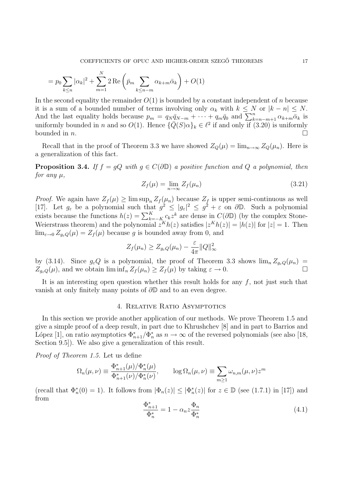$$
= p_0 \sum_{k \le n} |\alpha_k|^2 + \sum_{m=1}^N 2 \operatorname{Re} \left( \bar{p}_m \sum_{k \le n-m} \alpha_{k+m} \bar{\alpha}_k \right) + O(1)
$$

In the second equality the remainder  $O(1)$  is bounded by a constant independent of n because it is a sum of a bounded number of terms involving only  $\alpha_k$  with  $k \leq N$  or  $|k - n| \leq N$ . And the last equality holds because  $p_m = q_N \bar{q}_{N-m} + \cdots + q_m \bar{q}_0$  and  $\sum_{k=n-m+1}^{n} \alpha_{k+m} \bar{\alpha}_k$  is uniformly bounded in n and so  $O(1)$ . Hence  $\{\overline{Q}(S)\alpha\}_k \in \ell^2$  if and only if  $(3.20)$  is uniformly bounded in *n*.

Recall that in the proof of Theorem 3.3 we have showed  $Z_Q(\mu) = \lim_{n \to \infty} Z_Q(\mu_n)$ . Here is a generalization of this fact.

**Proposition 3.4.** If  $f = gQ$  with  $g \in C(\partial \mathbb{D})$  a positive function and Q a polynomial, then for any  $\mu$ ,

$$
Z_f(\mu) = \lim_{n \to \infty} Z_f(\mu_n) \tag{3.21}
$$

*Proof.* We again have  $Z_f(\mu) \geq \limsup_n Z_f(\mu_n)$  because  $Z_f$  is upper semi-continuous as well [17]. Let  $g_{\varepsilon}$  be a polynomial such that  $g^2 \leq |g_{\varepsilon}|^2 \leq g^2 + \varepsilon$  on  $\partial \mathbb{D}$ . Such a polynomial exists because the functions  $h(z) = \sum_{k=-K}^{K} c_k z^k$  are dense in  $C(\partial \mathbb{D})$  (by the complex Stone-Weierstrass theorem) and the polynomial  $z^K h(z)$  satisfies  $|z^K h(z)| = |h(z)|$  for  $|z| = 1$ . Then  $\lim_{\varepsilon\to 0} Z_{q_{\varepsilon}Q}(\mu) = Z_f(\mu)$  because g is bounded away from 0, and

$$
Z_f(\mu_n) \geq Z_{g_{\varepsilon}Q}(\mu_n) - \frac{\varepsilon}{4\pi} ||Q||_{\infty}^2
$$

by (3.14). Since  $g_{\varepsilon}Q$  is a polynomial, the proof of Theorem 3.3 shows  $\lim_{n} Z_{g_{\varepsilon}Q}(\mu_n) =$  $Z_{g_{\varepsilon}Q}(\mu)$ , and we obtain  $\liminf_{n} Z_f(\mu_n) \geq Z_f(\mu)$  by taking  $\varepsilon \to 0$ .

It is an interesting open question whether this result holds for any  $f$ , not just such that vanish at only finitely many points of ∂D and to an even degree.

### 4. Relative Ratio Asymptotics

In this section we provide another application of our methods. We prove Theorem 1.5 and give a simple proof of a deep result, in part due to Khrushchev [8] and in part to Barrios and López [1], on ratio asymptotics  $\Phi_{n+1}^*/\Phi_n^*$  as  $n \to \infty$  of the reversed polynomials (see also [18, Section 9.5]). We also give a generalization of this result.

Proof of Theorem 1.5. Let us define

$$
\Omega_n(\mu,\nu) \equiv \frac{\Phi_{n+1}^*(\mu)/\Phi_n^*(\mu)}{\Phi_{n+1}^*(\nu)/\Phi_n^*(\nu)}, \qquad \log \Omega_n(\mu,\nu) \equiv \sum_{m \ge 1} \omega_{n,m}(\mu,\nu) z^m
$$

(recall that  $\Phi_n^*(0) = 1$ ). It follows from  $|\Phi_n(z)| \leq |\Phi_n^*(z)|$  for  $z \in \mathbb{D}$  (see (1.7.1) in [17]) and from

$$
\frac{\Phi_{n+1}^*}{\Phi_n^*} = 1 - \alpha_n z \frac{\Phi_n}{\Phi_n^*}
$$
\n(4.1)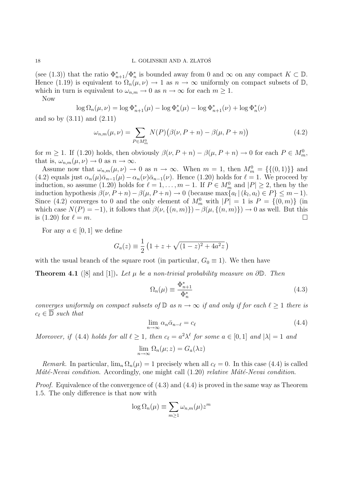### 18 L. GOLINSKII AND A. ZLATOŠ

(see (1.3)) that the ratio  $\Phi_{n+1}^*/\Phi_n^*$  is bounded away from 0 and  $\infty$  on any compact  $K \subset \mathbb{D}$ . Hence (1.19) is equivalent to  $\Omega_n(\mu,\nu) \to 1$  as  $n \to \infty$  uniformly on compact subsets of  $\mathbb{D}$ , which in turn is equivalent to  $\omega_{n,m} \to 0$  as  $n \to \infty$  for each  $m \geq 1$ .

Now

$$
\log \Omega_n(\mu, \nu) = \log \Phi_{n+1}^*(\mu) - \log \Phi_n^*(\mu) - \log \Phi_{n+1}^*(\nu) + \log \Phi_n^*(\nu)
$$

and so by (3.11) and (2.11)

$$
\omega_{n,m}(\mu,\nu) = \sum_{P \in M_m^0} N(P) \big(\beta(\nu,P+n) - \beta(\mu,P+n)\big) \tag{4.2}
$$

for  $m \ge 1$ . If (1.20) holds, then obviously  $\beta(\nu, P + n) - \beta(\mu, P + n) \to 0$  for each  $P \in M_m^0$ , that is,  $\omega_{n,m}(\mu,\nu) \to 0$  as  $n \to \infty$ .

Assume now that  $\omega_{n,m}(\mu,\nu) \to 0$  as  $n \to \infty$ . When  $m = 1$ , then  $M_m^0 = \{\{(0,1)\}\}\$ and (4.2) equals just  $\alpha_n(\mu)\bar{\alpha}_{n-1}(\mu) - \alpha_n(\nu)\bar{\alpha}_{n-1}(\nu)$ . Hence (1.20) holds for  $\ell = 1$ . We proceed by induction, so assume (1.20) holds for  $\ell = 1, ..., m - 1$ . If  $P \in M_m^0$  and  $|P| \geq 2$ , then by the induction hypothesis  $\beta(\nu, P + n) - \beta(\mu, P + n) \to 0$  (because max $\{a_l | (k_l, a_l) \in P\} \leq m - 1$ ). Since (4.2) converges to 0 and the only element of  $M_m^0$  with  $|P| = 1$  is  $P = \{(0, m)\}\$  (in which case  $N(P) = -1$ ), it follows that  $\beta(\nu, \{(n, m)\}) - \beta(\mu, \{(n, m)\}) \to 0$  as well. But this is  $(1.20)$  for  $\ell = m$ .

For any  $a \in [0,1]$  we define

$$
G_a(z) \equiv \frac{1}{2} \left( 1 + z + \sqrt{(1 - z)^2 + 4a^2 z} \right)
$$

with the usual branch of the square root (in particular,  $G_0 \equiv 1$ ). We then have

**Theorem 4.1** ([8] and [1]). Let  $\mu$  be a non-trivial probability measure on  $\partial \mathbb{D}$ . Then

$$
\Omega_n(\mu) \equiv \frac{\Phi_{n+1}^*}{\Phi_n^*} \tag{4.3}
$$

converges uniformly on compact subsets of  $\mathbb D$  as  $n \to \infty$  if and only if for each  $\ell \geq 1$  there is  $c_{\ell} \in \overline{\mathbb{D}}$  such that

$$
\lim_{n \to \infty} \alpha_n \bar{\alpha}_{n-\ell} = c_{\ell} \tag{4.4}
$$

Moreover, if (4.4) holds for all  $\ell \geq 1$ , then  $c_{\ell} = a^2 \lambda^{\ell}$  for some  $a \in [0, 1]$  and  $|\lambda| = 1$  and

$$
\lim_{n \to \infty} \Omega_n(\mu; z) = G_a(\lambda z)
$$

Remark. In particular,  $\lim_{n} \Omega_n(\mu) = 1$  precisely when all  $c_{\ell} = 0$ . In this case (4.4) is called Máté-Nevai condition. Accordingly, one might call  $(1.20)$  relative Máté-Nevai condition.

*Proof.* Equivalence of the convergence of  $(4.3)$  and  $(4.4)$  is proved in the same way as Theorem 1.5. The only difference is that now with

$$
\log \Omega_n(\mu) \equiv \sum_{m \ge 1} \omega_{n,m}(\mu) z^m
$$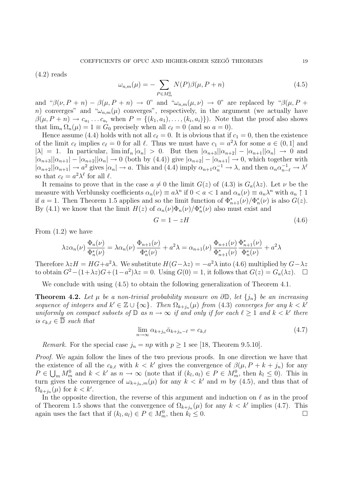$(4.2)$  reads

$$
\omega_{n,m}(\mu) = -\sum_{P \in M_m^0} N(P)\beta(\mu, P + n) \tag{4.5}
$$

and " $\beta(\nu, P + n) - \beta(\mu, P + n) \rightarrow 0$ " and " $\omega_{n,m}(\mu, \nu) \rightarrow 0$ " are replaced by " $\beta(\mu, P + n)$ " n) converges" and " $\omega_{n,m}(\mu)$  converges", respectively, in the argument (we actually have  $\beta(\mu, P + n) \to c_{a_1} \dots c_{a_i}$  when  $P = \{(k_1, a_1), \dots, (k_i, a_i)\}\)$ . Note that the proof also shows that  $\lim_{n} \Omega_n(\mu) = 1 \equiv G_0$  precisely when all  $c_{\ell} = 0$  (and so  $a = 0$ ).

Hence assume (4.4) holds with not all  $c_{\ell} = 0$ . It is obvious that if  $c_1 = 0$ , then the existence of the limit  $c_{\ell}$  implies  $c_{\ell} = 0$  for all  $\ell$ . Thus we must have  $c_1 = a^2 \lambda$  for some  $a \in (0, 1]$  and  $|\lambda| = 1$ . In particular,  $\liminf_{n} |\alpha_n| > 0$ . But then  $|\alpha_{n+3}| |\alpha_{n+2}| - |\alpha_{n+1}| |\alpha_n| \to 0$  and  $|\alpha_{n+3}||\alpha_{n+1}| - |\alpha_{n+2}||\alpha_n| \to 0$  (both by (4.4)) give  $|\alpha_{n+2}| - |\alpha_{n+1}| \to 0$ , which together with  $|\alpha_{n+2}||\alpha_{n+1}| \to a^2$  gives  $|\alpha_n| \to a$ . This and (4.4) imply  $\alpha_{n+1}\alpha_n^{-1} \to \lambda$ , and then  $\alpha_n\alpha_{n-\ell}^{-1} \to \lambda^{\ell}$ so that  $c_{\ell} = a^2 \lambda^{\ell}$  for all  $\ell$ .

It remains to prove that in the case  $a \neq 0$  the limit  $G(z)$  of (4.3) is  $G_a(\lambda z)$ . Let  $\nu$  be the measure with Verblunsky coefficients  $\alpha_n(\nu) \equiv a\lambda^n$  if  $0 < a < 1$  and  $\alpha_n(\nu) \equiv a_n\lambda^n$  with  $a_n \uparrow 1$ if  $a = 1$ . Then Theorem 1.5 applies and so the limit function of  $\Phi_{n+1}^*(\nu)/\Phi_n^*(\nu)$  is also  $G(z)$ . By (4.1) we know that the limit  $H(z)$  of  $\alpha_n(\nu)\Phi_n(\nu)/\Phi_n^*(\nu)$  also must exist and

$$
G = 1 - zH \tag{4.6}
$$

From (1.2) we have

$$
\lambda z \alpha_n(\nu) \frac{\Phi_n(\nu)}{\Phi_n^*(\nu)} = \lambda \alpha_n(\nu) \frac{\Phi_{n+1}(\nu)}{\Phi_n^*(\nu)} + a^2 \lambda = \alpha_{n+1}(\nu) \frac{\Phi_{n+1}(\nu)}{\Phi_{n+1}^*(\nu)} \frac{\Phi_{n+1}^*(\nu)}{\Phi_n^*(\nu)} + a^2 \lambda
$$

Therefore  $\lambda zH = HG + a^2 \lambda$ . We substitute  $H(G - \lambda z) = -a^2 \lambda$  into (4.6) multiplied by  $G - \lambda z$ to obtain  $G^2 - (1 + \lambda z)G + (1 - a^2)\lambda z = 0$ . Using  $G(0) = 1$ , it follows that  $G(z) = G_a(\lambda z)$ .  $\Box$ 

We conclude with using  $(4.5)$  to obtain the following generalization of Theorem 4.1.

**Theorem 4.2.** Let  $\mu$  be a non-trivial probability measure on  $\partial \mathbb{D}$ , let  $\{j_n\}$  be an increasing sequence of integers and  $k' \in \mathbb{Z} \cup \{\infty\}$ . Then  $\Omega_{k+j_n}(\mu)$  from (4.3) converges for any  $k < k'$ uniformly on compact subsets of  $\mathbb D$  as  $n \to \infty$  if and only if for each  $\ell \geq 1$  and  $k < k'$  there is  $c_{k,\ell} \in \overline{\mathbb{D}}$  such that

$$
\lim_{n \to \infty} \alpha_{k+j_n} \bar{\alpha}_{k+j_n-\ell} = c_{k,\ell} \tag{4.7}
$$

Remark. For the special case  $j_n = np$  with  $p \ge 1$  see [18, Theorem 9.5.10].

Proof. We again follow the lines of the two previous proofs. In one direction we have that the existence of all the  $c_{k,\ell}$  with  $k < k'$  gives the convergence of  $\beta(\mu, P + k + j_n)$  for any  $P \in \bigcup_m M_m^0$  and  $k < k'$  as  $n \to \infty$  (note that if  $(k_l, a_l) \in P \in M_m^0$ , then  $k_l \leq 0$ ). This in turn gives the convergence of  $\omega_{k+j_n,m}(\mu)$  for any  $k < k'$  and m by (4.5), and thus that of  $\Omega_{k+j_n}(\mu)$  for  $k < k'$ .

In the opposite direction, the reverse of this argument and induction on  $\ell$  as in the proof of Theorem 1.5 shows that the convergence of  $\Omega_{k+j_n}(\mu)$  for any  $k < k'$  implies (4.7). This again uses the fact that if  $(k_l, a_l) \in P \in M_m^0$ , then  $k_l \leq 0$ .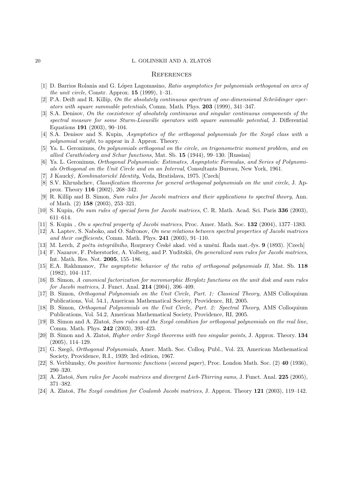### 20 L. GOLINSKII AND A. ZLATOŠ

#### **REFERENCES**

- [1] D. Barrios Rolania and G. López Lagomasino, Ratio asymptotics for polynomials orthogonal on arcs of the unit circle, Constr. Approx.  $15$  (1999), 1–31.
- $[2]$  P.A. Deift and R. Killip, On the absolutely continuous spectrum of one-dimensional Schrödinger operators with square summable potentials, Comm. Math. Phys. 203 (1999), 341–347.
- [3] S.A. Denisov, On the coexistence of absolutely continuous and singular continuous components of the spectral measure for some Sturm-Liouville operators with square summable potential, J. Differential Equations 191 (2003), 90–104.
- [4] S.A. Denisov and S. Kupin, Asymptotics of the orthogonal polynomials for the Szegő class with a polynomial weight, to appear in J. Approx. Theory.
- [5] Ya. L. Geronimus, On polynomials orthogonal on the circle, on trigonometric moment problem, and on allied Carathéodory and Schur functions, Mat. Sb. 15 (1944), 99–130. [Russian]
- [6] Ya. L. Geronimus, Orthogonal Polynomials: Estimates, Asymptotic Formulas, and Series of Polynomials Orthogonal on the Unit Circle and on an Interval, Consultants Bureau, New York, 1961.
- [7] J Kauck´y, Kombinatorick´e Identity, Veda, Bratislava, 1975. [Czech]
- [8] S.V. Khrushchev, Classification theorems for general orthogonal polynomials on the unit circle, J. Approx. Theory 116 (2002), 268–342.
- [9] R. Killip and B. Simon, Sum rules for Jacobi matrices and their applications to spectral theory, Ann. of Math. (2) 158 (2003), 253–321.
- [10] S. Kupin, On sum rules of special form for Jacobi matrices, C. R. Math. Acad. Sci. Paris 336 (2003), 611–614.
- [11] S. Kupin , On a spectral property of Jacobi matrices, Proc. Amer. Math. Soc. 132 (2004), 1377–1383.
- [12] A. Laptev, S. Naboko, and O. Safronov, On new relations between spectral properties of Jacobi matrices and their coefficients, Comm. Math. Phys. 241 (2003), 91–110.
- [13] M. Lerch, Z počtu integrálního, Rozpravy České akad. věd a umění. Řada mat.-fys.  $9$  (1893). [Czech]
- [14] F. Nazarov, F. Peherstorfer, A. Volberg, and P. Yuditskii, On generalized sum rules for Jacobi matrices, Int. Math. Res. Not. 2005, 155–186.
- [15] E.A. Rakhmanov, The asymptotic behavior of the ratio of orthogonal polynomials II, Mat. Sb. 118 (1982), 104–117.
- [16] B. Simon, A canonical factorization for meromorphic Herglotz functions on the unit disk and sum rules for Jacobi matrices, J. Funct. Anal. 214 (2004), 396–409.
- [17] B. Simon, Orthogonal Polynomials on the Unit Circle, Part. 1: Classical Theory, AMS Colloquium Publications, Vol. 54.1, American Mathematical Society, Providence, RI, 2005.
- [18] B. Simon, Orthogonal Polynomials on the Unit Circle, Part. 2: Spectral Theory, AMS Colloquium Publications, Vol. 54.2, American Mathematical Society, Providence, RI, 2005.
- [19] B. Simon and A. Zlatoš, Sum rules and the Szegő condition for orthogonal polynomials on the real line, Comm. Math. Phys. 242 (2003), 393–423.
- [20] B. Simon and A. Zlatoš, *Higher order Szegő theorems with two singular points*, J. Approx. Theory. 134 (2005), 114–129.
- [21] G. Szegő, *Orthogonal Polynomials*, Amer. Math. Soc. Colloq. Publ., Vol. 23, American Mathematical Society, Providence, R.I., 1939; 3rd edition, 1967.
- [22] S. Verblunsky, On positive harmonic functions (second paper), Proc. London Math. Soc. (2) 40 (1936), 290–320.
- [23] A. Zlatoš, Sum rules for Jacobi matrices and divergent Lieb-Thirring sums, J. Funct. Anal. 225 (2005), 371–382.
- [24] A. Zlatoš, The Szegő condition for Coulomb Jacobi matrices, J. Approx. Theory 121 (2003), 119–142.